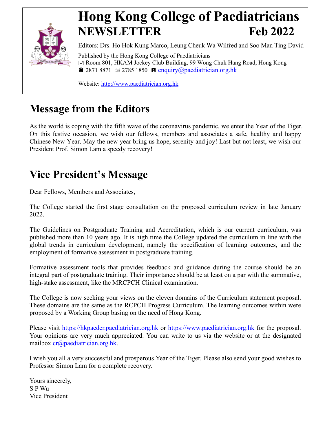

# **Hong Kong College of Paediatricians NEWSLETTER Feb 2022**

Editors: Drs. Ho Hok Kung Marco, Leung Cheuk Wa Wilfred and Soo Man Ting David Published by the Hong Kong College of Paediatricians Room 801, HKAM Jockey Club Building, 99 Wong Chuk Hang Road, Hong Kong **2871 8871**  $\equiv$  **2785 1850 <b>E** [enquiry@paediatrician.org.hk](mailto:enquiry@paediatrician.org.hk)

Website: [http://www.paediatrician.org.hk](http://www.paediatrician.org.hk/)

### **Message from the Editors**

As the world is coping with the fifth wave of the coronavirus pandemic, we enter the Year of the Tiger. On this festive occasion, we wish our fellows, members and associates a safe, healthy and happy Chinese New Year. May the new year bring us hope, serenity and joy! Last but not least, we wish our President Prof. Simon Lam a speedy recovery!

## **Vice President's Message**

Dear Fellows, Members and Associates,

The College started the first stage consultation on the proposed curriculum review in late January 2022.

The Guidelines on Postgraduate Training and Accreditation, which is our current curriculum, was published more than 10 years ago. It is high time the College updated the curriculum in line with the global trends in curriculum development, namely the specification of learning outcomes, and the employment of formative assessment in postgraduate training.

Formative assessment tools that provides feedback and guidance during the course should be an integral part of postgraduate training. Their importance should be at least on a par with the summative, high-stake assessment, like the MRCPCH Clinical examination.

The College is now seeking your views on the eleven domains of the Curriculum statement proposal. These domains are the same as the RCPCH Progress Curriculum. The learning outcomes within were proposed by a Working Group basing on the need of Hong Kong.

Please visit [https://hkpaedcr.paediatrician.org.hk](https://hkpaedcr.paediatrician.org.hk/) or [https://www.paediatrician.org.hk](https://www.paediatrician.org.hk/) for the proposal. Your opinions are very much appreciated. You can write to us via the website or at the designated mailbox [cr@paediatrician.org.hk.](mailto:cr@paediatrician.org.hk)

I wish you all a very successful and prosperous Year of the Tiger. Please also send your good wishes to Professor Simon Lam for a complete recovery.

Yours sincerely, S P Wu Vice President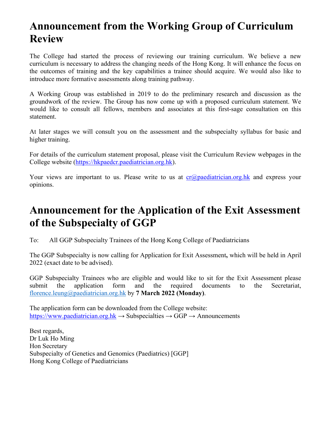### **Announcement from the Working Group of Curriculum Review**

The College had started the process of reviewing our training curriculum. We believe a new curriculum is necessary to address the changing needs of the Hong Kong. It will enhance the focus on the outcomes of training and the key capabilities a trainee should acquire. We would also like to introduce more formative assessments along training pathway.

A Working Group was established in 2019 to do the preliminary research and discussion as the groundwork of the review. The Group has now come up with a proposed curriculum statement. We would like to consult all fellows, members and associates at this first-sage consultation on this statement.

At later stages we will consult you on the assessment and the subspecialty syllabus for basic and higher training.

For details of the curriculum statement proposal, please visit the Curriculum Review webpages in the College website [\(https://hkpaedcr.paediatrician.org.hk\)](https://hkpaedcr.paediatrician.org.hk/).

Your views are important to us. Please write to us at  $cr(\partial p)$  paediatrician.org.hk and express your opinions.

### **Announcement for the Application of the Exit Assessment of the Subspecialty of GGP**

To: All GGP Subspecialty Trainees of the Hong Kong College of Paediatricians

The GGP Subspecialty is now calling for Application for Exit Assessment**,** which will be held in April 2022 (exact date to be advised).

GGP Subspecialty Trainees who are eligible and would like to sit for the Exit Assessment please submit the application form and the required documents to the Secretariat, [florence.leung@paediatrician.org.hk](mailto:florence.leung@paediatrician.org.hk) by **7 March 2022 (Monday)**.

The application form can be downloaded from the College website: [https://www.paediatrician.org.hk](https://www.paediatrician.org.hk/)  $\rightarrow$  Subspecialties  $\rightarrow$  GGP  $\rightarrow$  Announcements

Best regards, Dr Luk Ho Ming Hon Secretary Subspecialty of Genetics and Genomics (Paediatrics) [GGP] Hong Kong College of Paediatricians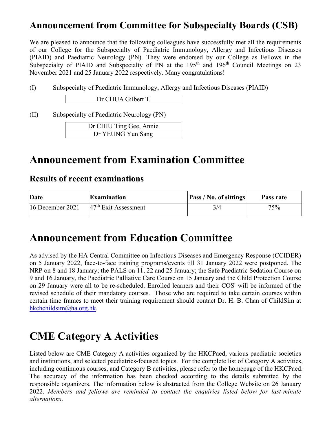#### **Announcement from Committee for Subspecialty Boards (CSB)**

We are pleased to announce that the following colleagues have successfully met all the requirements of our College for the Subspecialty of Paediatric Immunology, Allergy and Infectious Diseases (PIAID) and Paediatric Neurology (PN). They were endorsed by our College as Fellows in the Subspecialty of PIAID and Subspecialty of PN at the 195<sup>th</sup> and 196<sup>th</sup> Council Meetings on 23 November 2021 and 25 January 2022 respectively. Many congratulations!

(I) Subspecialty of Paediatric Immunology, Allergy and Infectious Diseases (PIAID)

Dr CHUA Gilbert T.

(II) Subspecialty of Paediatric Neurology (PN)

| Dr CHIU Ting Gee, Annie |  |
|-------------------------|--|
| Dr YEUNG Yun Sang       |  |

### **Announcement from Examination Committee**

#### **Results of recent examinations**

| Date             | <b>Examination</b>     | <b>Pass / No. of sittings</b> | Pass rate |
|------------------|------------------------|-------------------------------|-----------|
| 16 December 2021 | $47th$ Exit Assessment | 3/4                           | 75%       |

### **Announcement from Education Committee**

As advised by the HA Central Committee on Infectious Diseases and Emergency Response (CCIDER) on 5 January 2022, face-to-face training programs/events till 31 January 2022 were postponed. The NRP on 8 and 18 January; the PALS on 11, 22 and 25 January; the Safe Paediatric Sedation Course on 9 and 16 January, the Paediatric Palliative Care Course on 15 January and the Child Protection Course on 29 January were all to be re-scheduled. Enrolled learners and their COS' will be informed of the revised schedule of their mandatory courses. Those who are required to take certain courses within certain time frames to meet their training requirement should contact Dr. H. B. Chan of ChildSim at [hkchchildsim@ha.org.hk.](mailto:hkchchildsim@ha.org.hk)

### **CME Category A Activities**

Listed below are CME Category A activities organized by the HKCPaed, various paediatric societies and institutions, and selected paediatrics-focused topics. For the complete list of Category A activities, including continuous courses, and Category B activities, please refer to the homepage of the HKCPaed. The accuracy of the information has been checked according to the details submitted by the responsible organizers. The information below is abstracted from the College Website on 26 January 2022. *Members and fellows are reminded to contact the enquiries listed below for last-minute alternations*.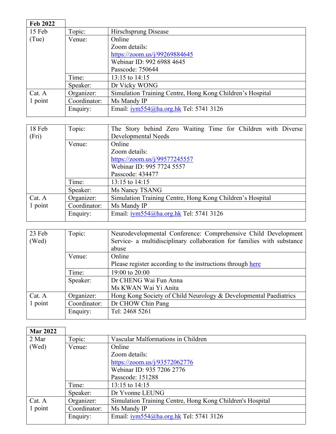| <b>Feb 2022</b> |              |                                                           |
|-----------------|--------------|-----------------------------------------------------------|
| 15 Feb          | Topic:       | Hirschsprung Disease                                      |
| (Tue)           | Venue:       | Online                                                    |
|                 |              | Zoom details:                                             |
|                 |              | https://zoom.us/j/99269884645                             |
|                 |              | Webinar ID: 992 6988 4645                                 |
|                 |              | Passcode: 750644                                          |
|                 | Time:        | 13:15 to $14:15$                                          |
|                 | Speaker:     | Dr Vicky WONG                                             |
| Cat. A          | Organizer:   | Simulation Training Centre, Hong Kong Children's Hospital |
| 1 point         | Coordinator: | Ms Mandy IP                                               |
|                 | Enquiry:     | Email: iym554@ha.org.hk Tel: 5741 3126                    |

| 18 Feb  | Topic:       | The Story behind Zero Waiting Time for Children with Diverse |
|---------|--------------|--------------------------------------------------------------|
| (Fri)   |              | Developmental Needs                                          |
|         | Venue:       | Online                                                       |
|         |              | Zoom details:                                                |
|         |              | https://zoom.us/j/99577245557                                |
|         |              | Webinar ID: 995 7724 5557                                    |
|         |              | Passcode: 434477                                             |
|         | Time:        | 13:15 to 14:15                                               |
|         | Speaker:     | Ms Nancy TSANG                                               |
| Cat. A  | Organizer:   | Simulation Training Centre, Hong Kong Children's Hospital    |
| 1 point | Coordinator: | Ms Mandy IP                                                  |
|         | Enquiry:     | Email: iym554@ha.org.hk Tel: 5741 3126                       |

| 23 Feb  | Topic:       | Neurodevelopmental Conference: Comprehensive Child Development         |
|---------|--------------|------------------------------------------------------------------------|
|         |              | Service- a multidisciplinary collaboration for families with substance |
| (Wed)   |              |                                                                        |
|         |              | abuse                                                                  |
|         | Venue:       | Online                                                                 |
|         |              | Please register according to the instructions through here             |
|         | Time:        | 19:00 to 20:00                                                         |
|         | Speaker:     | Dr CHENG Wai Fun Anna                                                  |
|         |              | Ms KWAN Wai Yi Anita                                                   |
| Cat. A  | Organizer:   | Hong Kong Society of Child Neurology & Developmental Paediatrics       |
| 1 point | Coordinator: | Dr CHOW Chin Pang                                                      |
|         | Enquiry:     | Tel: 2468 5261                                                         |
|         |              |                                                                        |

| <b>Mar 2022</b> |              |                                                           |
|-----------------|--------------|-----------------------------------------------------------|
| 2 Mar           | Topic:       | Vascular Malformations in Children                        |
| (Wed)           | Venue:       | Online                                                    |
|                 |              | Zoom details:                                             |
|                 |              | https://zoom.us/j/93572062776                             |
|                 |              | Webinar ID: 935 7206 2776                                 |
|                 |              | Passcode: 151288                                          |
|                 | Time:        | 13:15 to 14:15                                            |
|                 | Speaker:     | Dr Yvonne LEUNG                                           |
| Cat. A          | Organizer:   | Simulation Training Centre, Hong Kong Children's Hospital |
| 1 point         | Coordinator: | Ms Mandy IP                                               |
|                 | Enquiry:     | Email: $i\gamma m 554$ @ha.org.hk Tel: 5741 3126          |